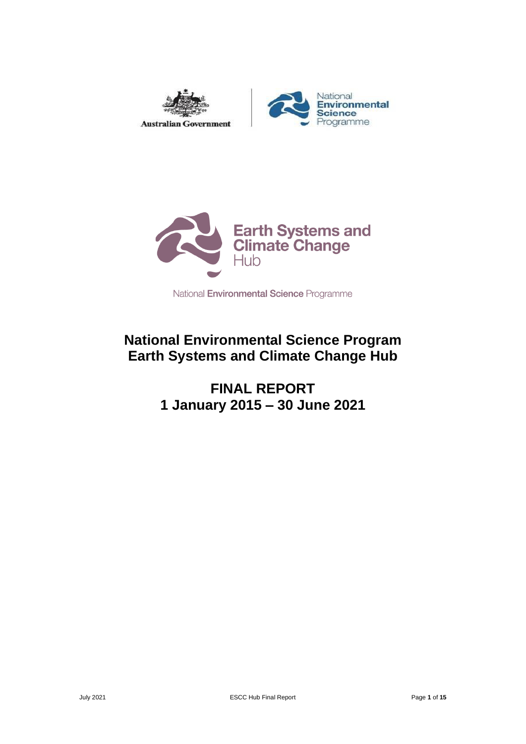



National Environmental Science Programme

## **National Environmental Science Program Earth Systems and Climate Change Hub**

**FINAL REPORT 1 January 2015 – 30 June 2021**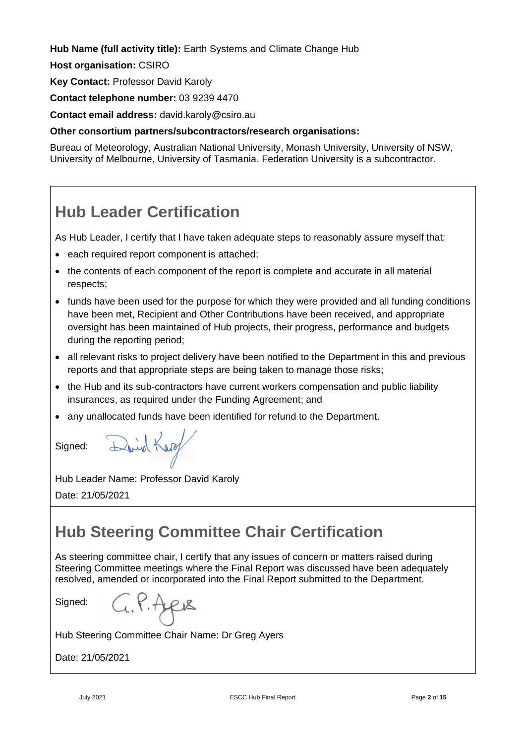**Hub Name (full activity title):** Earth Systems and Climate Change Hub

**Host organisation:** CSIRO

**Key Contact:** Professor David Karoly

**Contact telephone number:** 03 9239 4470

**Contact email address:** david.karoly@csiro.au

**Other consortium partners/subcontractors/research organisations:**

Bureau of Meteorology, Australian National University, Monash University, University of NSW, University of Melbourne, University of Tasmania. Federation University is a subcontractor.

# <span id="page-1-0"></span>**Hub Leader Certification**

As Hub Leader, I certify that I have taken adequate steps to reasonably assure myself that:

- each required report component is attached;
- the contents of each component of the report is complete and accurate in all material respects;
- funds have been used for the purpose for which they were provided and all funding conditions have been met, Recipient and Other Contributions have been received, and appropriate oversight has been maintained of Hub projects, their progress, performance and budgets during the reporting period;
- all relevant risks to project delivery have been notified to the Department in this and previous reports and that appropriate steps are being taken to manage those risks;
- the Hub and its sub-contractors have current workers compensation and public liability insurances, as required under the Funding Agreement; and
- any unallocated funds have been identified for refund to the Department.

Signed:

Hub Leader Name: Professor David Karoly Date: 21/05/2021

David Karo

# <span id="page-1-1"></span>**Hub Steering Committee Chair Certification**

As steering committee chair, I certify that any issues of concern or matters raised during Steering Committee meetings where the Final Report was discussed have been adequately resolved, amended or incorporated into the Final Report submitted to the Department.

Signed:

 $4.1.4 \mu s$ 

Hub Steering Committee Chair Name: Dr Greg Ayers

Date: 21/05/2021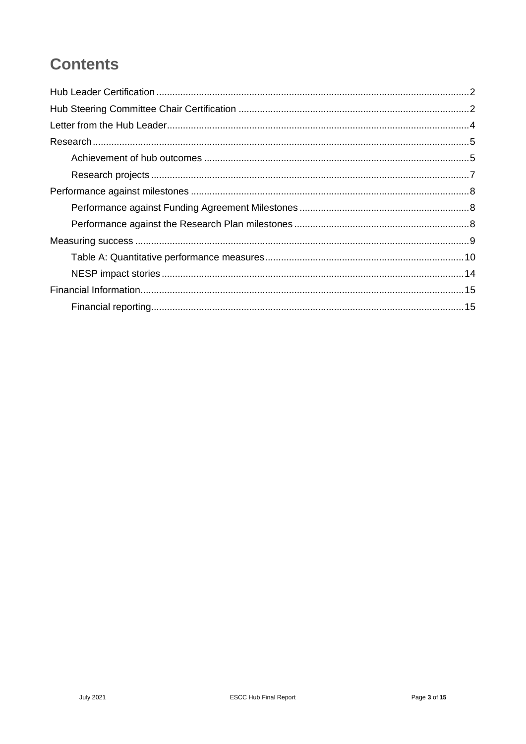# **Contents**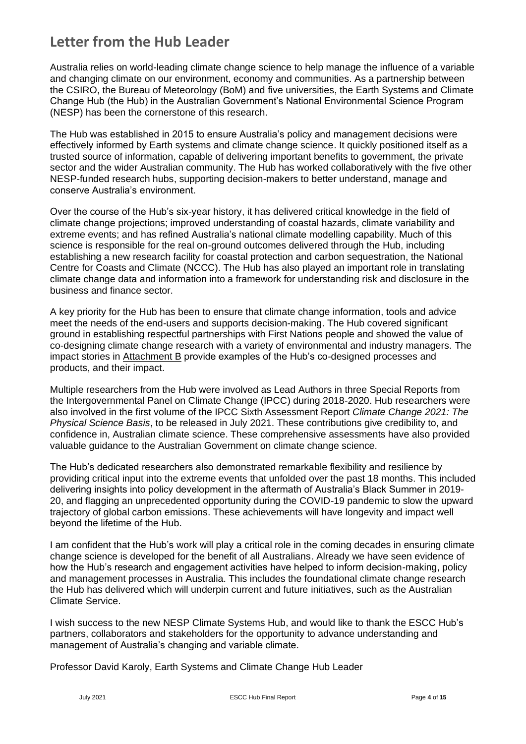## <span id="page-3-0"></span>**Letter from the Hub Leader**

Australia relies on world-leading climate change science to help manage the influence of a variable and changing climate on our environment, economy and communities. As a partnership between the CSIRO, the Bureau of Meteorology (BoM) and five universities, the Earth Systems and Climate Change Hub (the Hub) in the Australian Government's National Environmental Science Program (NESP) has been the cornerstone of this research.

The Hub was established in 2015 to ensure Australia's policy and management decisions were effectively informed by Earth systems and climate change science. It quickly positioned itself as a trusted source of information, capable of delivering important benefits to government, the private sector and the wider Australian community. The Hub has worked collaboratively with the five other NESP-funded research hubs, supporting decision-makers to better understand, manage and conserve Australia's environment.

Over the course of the Hub's six-year history, it has delivered critical knowledge in the field of climate change projections; improved understanding of coastal hazards, climate variability and extreme events; and has refined Australia's national climate modelling capability. Much of this science is responsible for the real on-ground outcomes delivered through the Hub, including establishing a new research facility for coastal protection and carbon sequestration, the National Centre for Coasts and Climate (NCCC). The Hub has also played an important role in translating climate change data and information into a framework for understanding risk and disclosure in the business and finance sector.

A key priority for the Hub has been to ensure that climate change information, tools and advice meet the needs of the end-users and supports decision-making. The Hub covered significant ground in establishing respectful partnerships with First Nations people and showed the value of co-designing climate change research with a variety of environmental and industry managers. The impact stories in Attachment B provide examples of the Hub's co-designed processes and products, and their impact.

Multiple researchers from the Hub were involved as Lead Authors in three Special Reports from the Intergovernmental Panel on Climate Change (IPCC) during 2018-2020. Hub researchers were also involved in the first volume of the IPCC Sixth Assessment Report *Climate Change 2021: The Physical Science Basis*, to be released in July 2021. These contributions give credibility to, and confidence in, Australian climate science. These comprehensive assessments have also provided valuable guidance to the Australian Government on climate change science.

The Hub's dedicated researchers also demonstrated remarkable flexibility and resilience by providing critical input into the extreme events that unfolded over the past 18 months. This included delivering insights into policy development in the aftermath of Australia's Black Summer in 2019- 20, and flagging an unprecedented opportunity during the COVID-19 pandemic to slow the upward trajectory of global carbon emissions. These achievements will have longevity and impact well beyond the lifetime of the Hub.

I am confident that the Hub's work will play a critical role in the coming decades in ensuring climate change science is developed for the benefit of all Australians. Already we have seen evidence of how the Hub's research and engagement activities have helped to inform decision-making, policy and management processes in Australia. This includes the foundational climate change research the Hub has delivered which will underpin current and future initiatives, such as the Australian Climate Service.

I wish success to the new NESP Climate Systems Hub, and would like to thank the ESCC Hub's partners, collaborators and stakeholders for the opportunity to advance understanding and management of Australia's changing and variable climate.

Professor David Karoly, Earth Systems and Climate Change Hub Leader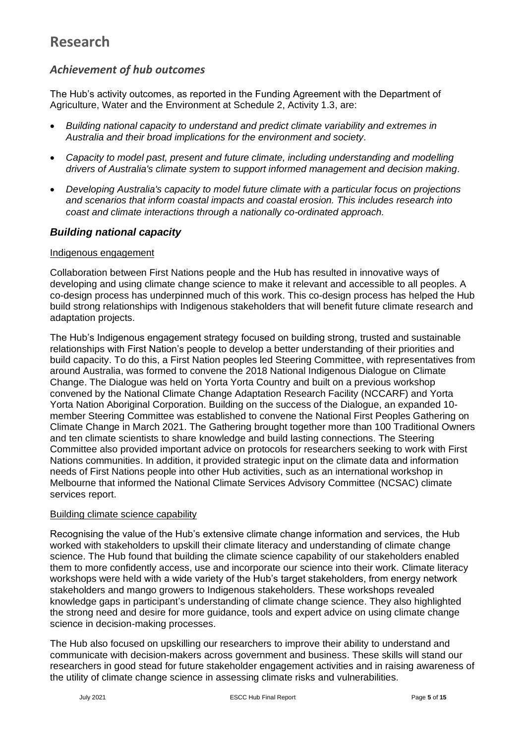## <span id="page-4-0"></span>**Research**

### <span id="page-4-1"></span>*Achievement of hub outcomes*

The Hub's activity outcomes, as reported in the Funding Agreement with the Department of Agriculture, Water and the Environment at Schedule 2, Activity 1.3, are:

- *Building national capacity to understand and predict climate variability and extremes in Australia and their broad implications for the environment and society.*
- *Capacity to model past, present and future climate, including understanding and modelling drivers of Australia's climate system to support informed management and decision making.*
- *Developing Australia's capacity to model future climate with a particular focus on projections and scenarios that inform coastal impacts and coastal erosion. This includes research into coast and climate interactions through a nationally co-ordinated approach.*

#### *Building national capacity*

#### Indigenous engagement

Collaboration between First Nations people and the Hub has resulted in innovative ways of developing and using climate change science to make it relevant and accessible to all peoples. A co-design process has underpinned much of this work. This co-design process has helped the Hub build strong relationships with Indigenous stakeholders that will benefit future climate research and adaptation projects.

The Hub's Indigenous engagement strategy focused on building strong, trusted and sustainable relationships with First Nation's people to develop a better understanding of their priorities and build capacity. To do this, a First Nation peoples led Steering Committee, with representatives from around Australia, was formed to convene the 2018 National Indigenous Dialogue on Climate Change. The Dialogue was held on Yorta Yorta Country and built on a previous workshop convened by the National Climate Change Adaptation Research Facility (NCCARF) and Yorta Yorta Nation Aboriginal Corporation. Building on the success of the Dialogue, an expanded 10 member Steering Committee was established to convene the National First Peoples Gathering on Climate Change in March 2021. The Gathering brought together more than 100 Traditional Owners and ten climate scientists to share knowledge and build lasting connections. The Steering Committee also provided important advice on protocols for researchers seeking to work with First Nations communities. In addition, it provided strategic input on the climate data and information needs of First Nations people into other Hub activities, such as an international workshop in Melbourne that informed the National Climate Services Advisory Committee (NCSAC) climate services report.

#### Building climate science capability

Recognising the value of the Hub's extensive climate change information and services, the Hub worked with stakeholders to upskill their climate literacy and understanding of climate change science. The Hub found that building the climate science capability of our stakeholders enabled them to more confidently access, use and incorporate our science into their work. Climate literacy workshops were held with a wide variety of the Hub's target stakeholders, from energy network stakeholders and mango growers to Indigenous stakeholders. These workshops revealed knowledge gaps in participant's understanding of climate change science. They also highlighted the strong need and desire for more guidance, tools and expert advice on using climate change science in decision-making processes.

The Hub also focused on upskilling our researchers to improve their ability to understand and communicate with decision-makers across government and business. These skills will stand our researchers in good stead for future stakeholder engagement activities and in raising awareness of the utility of climate change science in assessing climate risks and vulnerabilities.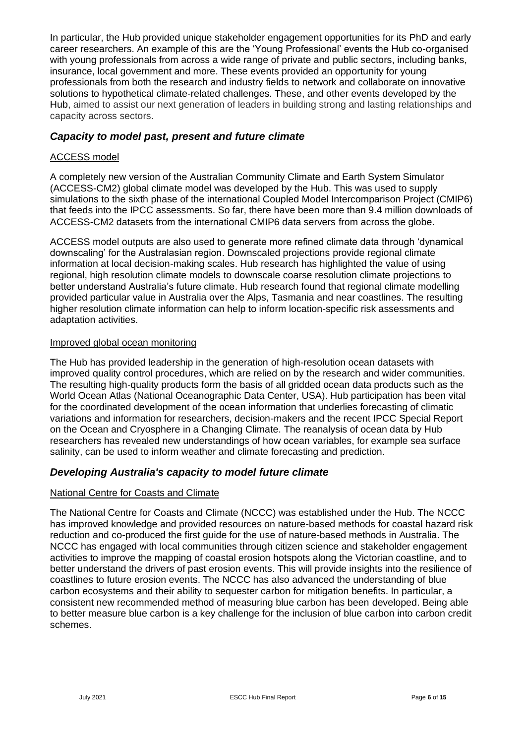In particular, the Hub provided unique stakeholder engagement opportunities for its PhD and early career researchers. An example of this are the 'Young Professional' events the Hub co-organised with young professionals from across a wide range of private and public sectors, including banks, insurance, local government and more. These events provided an opportunity for young professionals from both the research and industry fields to network and collaborate on innovative solutions to hypothetical climate-related challenges. These, and other events developed by the Hub, aimed to assist our next generation of leaders in building strong and lasting relationships and capacity across sectors.

#### *Capacity to model past, present and future climate*

#### ACCESS model

A completely new version of the Australian Community Climate and Earth System Simulator (ACCESS-CM2) global climate model was developed by the Hub. This was used to supply simulations to the sixth phase of the international Coupled Model Intercomparison Project (CMIP6) that feeds into the IPCC assessments. So far, there have been more than 9.4 million downloads of ACCESS-CM2 datasets from the international CMIP6 data servers from across the globe.

ACCESS model outputs are also used to generate more refined climate data through 'dynamical downscaling' for the Australasian region. Downscaled projections provide regional climate information at local decision-making scales. Hub research has highlighted the value of using regional, high resolution climate models to downscale coarse resolution climate projections to better understand Australia's future climate. Hub research found that regional climate modelling provided particular value in Australia over the Alps, Tasmania and near coastlines. The resulting higher resolution climate information can help to inform location-specific risk assessments and adaptation activities.

#### Improved global ocean monitoring

The Hub has provided leadership in the generation of high-resolution ocean datasets with improved quality control procedures, which are relied on by the research and wider communities. The resulting high-quality products form the basis of all gridded ocean data products such as the World Ocean Atlas (National Oceanographic Data Center, USA). Hub participation has been vital for the coordinated development of the ocean information that underlies forecasting of climatic variations and information for researchers, decision-makers and the recent IPCC Special Report on the Ocean and Cryosphere in a Changing Climate. The reanalysis of ocean data by Hub researchers has revealed new understandings of how ocean variables, for example sea surface salinity, can be used to inform weather and climate forecasting and prediction.

#### *Developing Australia's capacity to model future climate*

#### National Centre for Coasts and Climate

The National Centre for Coasts and Climate (NCCC) was established under the Hub. The NCCC has improved knowledge and provided resources on nature-based methods for coastal hazard risk reduction and co-produced the first guide for the use of nature-based methods in Australia. The NCCC has engaged with local communities through citizen science and stakeholder engagement activities to improve the mapping of coastal erosion hotspots along the Victorian coastline, and to better understand the drivers of past erosion events. This will provide insights into the resilience of coastlines to future erosion events. The NCCC has also advanced the understanding of blue carbon ecosystems and their ability to sequester carbon for mitigation benefits. In particular, a consistent new recommended method of measuring blue carbon has been developed. Being able to better measure blue carbon is a key challenge for the inclusion of blue carbon into carbon credit schemes.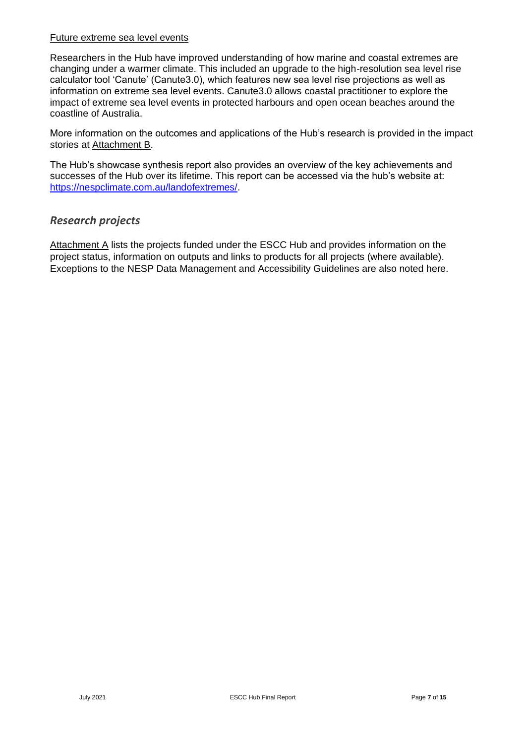#### Future extreme sea level events

Researchers in the Hub have improved understanding of how marine and coastal extremes are changing under a warmer climate. This included an upgrade to the high-resolution sea level rise calculator tool 'Canute' (Canute3.0), which features new sea level rise projections as well as information on extreme sea level events. Canute3.0 allows coastal practitioner to explore the impact of extreme sea level events in protected harbours and open ocean beaches around the coastline of Australia.

More information on the outcomes and applications of the Hub's research is provided in the impact stories at Attachment B.

The Hub's showcase synthesis report also provides an overview of the key achievements and successes of the Hub over its lifetime. This report can be accessed via the hub's website at: [https://nespclimate.com.au/landofextremes/.](https://nespclimate.com.au/landofextremes/)

#### <span id="page-6-0"></span>*Research projects*

Attachment A lists the projects funded under the ESCC Hub and provides information on the project status, information on outputs and links to products for all projects (where available). Exceptions to the NESP Data Management and Accessibility Guidelines are also noted here.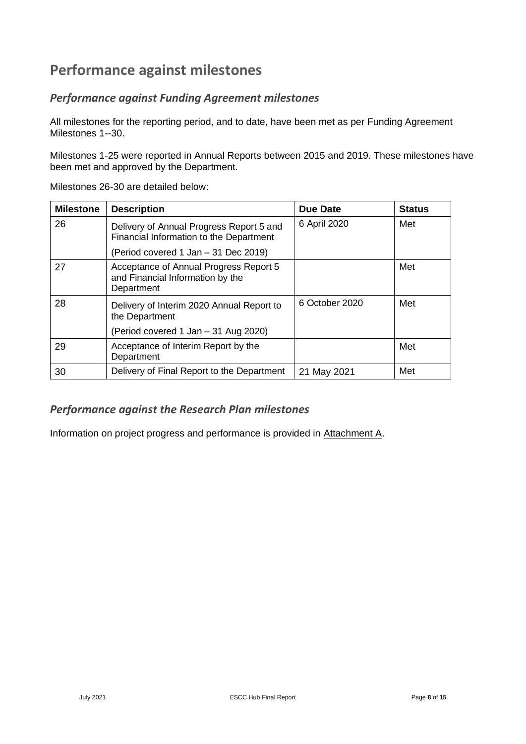## <span id="page-7-0"></span>**Performance against milestones**

### <span id="page-7-1"></span>*Performance against Funding Agreement milestones*

All milestones for the reporting period, and to date, have been met as per Funding Agreement Milestones 1--30.

Milestones 1-25 were reported in Annual Reports between 2015 and 2019. These milestones have been met and approved by the Department.

| <b>Milestone</b> | <b>Description</b>                                                                       | <b>Due Date</b> | <b>Status</b> |
|------------------|------------------------------------------------------------------------------------------|-----------------|---------------|
| 26               | Delivery of Annual Progress Report 5 and<br>Financial Information to the Department      | 6 April 2020    | Met           |
|                  | (Period covered 1 Jan – 31 Dec 2019)                                                     |                 |               |
| 27               | Acceptance of Annual Progress Report 5<br>and Financial Information by the<br>Department |                 | Met           |
| 28               | Delivery of Interim 2020 Annual Report to<br>the Department                              | 6 October 2020  | Met           |
|                  | (Period covered 1 Jan - 31 Aug 2020)                                                     |                 |               |
| 29               | Acceptance of Interim Report by the<br>Department                                        |                 | Met           |
| 30               | Delivery of Final Report to the Department                                               | 21 May 2021     | Met           |

Milestones 26-30 are detailed below:

### <span id="page-7-2"></span>*Performance against the Research Plan milestones*

Information on project progress and performance is provided in Attachment A.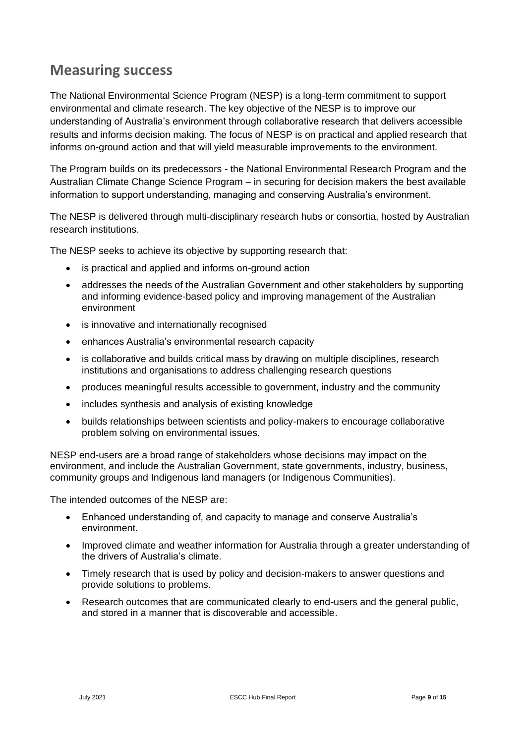### <span id="page-8-0"></span>**Measuring success**

The National Environmental Science Program (NESP) is a long-term commitment to support environmental and climate research. The key objective of the NESP is to improve our understanding of Australia's environment through collaborative research that delivers accessible results and informs decision making. The focus of NESP is on practical and applied research that informs on-ground action and that will yield measurable improvements to the environment.

The Program builds on its predecessors - the National Environmental Research Program and the Australian Climate Change Science Program – in securing for decision makers the best available information to support understanding, managing and conserving Australia's environment.

The NESP is delivered through multi-disciplinary research hubs or consortia, hosted by Australian research institutions.

The NESP seeks to achieve its objective by supporting research that:

- is practical and applied and informs on-ground action
- addresses the needs of the Australian Government and other stakeholders by supporting and informing evidence-based policy and improving management of the Australian environment
- is innovative and internationally recognised
- enhances Australia's environmental research capacity
- is collaborative and builds critical mass by drawing on multiple disciplines, research institutions and organisations to address challenging research questions
- produces meaningful results accessible to government, industry and the community
- includes synthesis and analysis of existing knowledge
- builds relationships between scientists and policy-makers to encourage collaborative problem solving on environmental issues.

NESP end-users are a broad range of stakeholders whose decisions may impact on the environment, and include the Australian Government, state governments, industry, business, community groups and Indigenous land managers (or Indigenous Communities).

The intended outcomes of the NESP are:

- Enhanced understanding of, and capacity to manage and conserve Australia's environment.
- Improved climate and weather information for Australia through a greater understanding of the drivers of Australia's climate.
- Timely research that is used by policy and decision-makers to answer questions and provide solutions to problems.
- Research outcomes that are communicated clearly to end-users and the general public, and stored in a manner that is discoverable and accessible.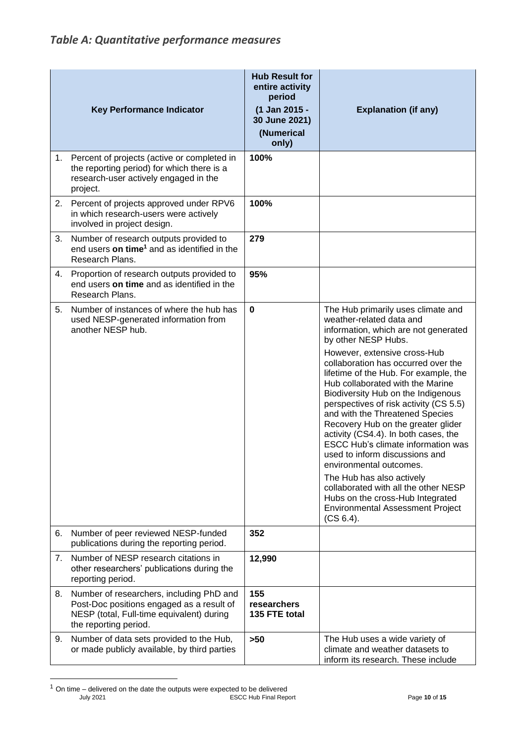<span id="page-9-0"></span>

|    | <b>Key Performance Indicator</b>                                                                                                                            | <b>Hub Result for</b><br>entire activity<br>period<br>(1 Jan 2015 -<br>30 June 2021)<br>(Numerical<br>only) | <b>Explanation (if any)</b>                                                                                                                                                                                                                                                                                                                                                                                                                                                                                                                                                                                                                                                                                                                                      |
|----|-------------------------------------------------------------------------------------------------------------------------------------------------------------|-------------------------------------------------------------------------------------------------------------|------------------------------------------------------------------------------------------------------------------------------------------------------------------------------------------------------------------------------------------------------------------------------------------------------------------------------------------------------------------------------------------------------------------------------------------------------------------------------------------------------------------------------------------------------------------------------------------------------------------------------------------------------------------------------------------------------------------------------------------------------------------|
| 1. | Percent of projects (active or completed in<br>the reporting period) for which there is a<br>research-user actively engaged in the<br>project.              | 100%                                                                                                        |                                                                                                                                                                                                                                                                                                                                                                                                                                                                                                                                                                                                                                                                                                                                                                  |
| 2. | Percent of projects approved under RPV6<br>in which research-users were actively<br>involved in project design.                                             | 100%                                                                                                        |                                                                                                                                                                                                                                                                                                                                                                                                                                                                                                                                                                                                                                                                                                                                                                  |
| 3. | Number of research outputs provided to<br>end users on time <sup>1</sup> and as identified in the<br>Research Plans.                                        | 279                                                                                                         |                                                                                                                                                                                                                                                                                                                                                                                                                                                                                                                                                                                                                                                                                                                                                                  |
| 4. | Proportion of research outputs provided to<br>end users on time and as identified in the<br>Research Plans.                                                 | 95%                                                                                                         |                                                                                                                                                                                                                                                                                                                                                                                                                                                                                                                                                                                                                                                                                                                                                                  |
| 5. | Number of instances of where the hub has<br>used NESP-generated information from<br>another NESP hub.                                                       | $\mathbf 0$                                                                                                 | The Hub primarily uses climate and<br>weather-related data and<br>information, which are not generated<br>by other NESP Hubs.<br>However, extensive cross-Hub<br>collaboration has occurred over the<br>lifetime of the Hub. For example, the<br>Hub collaborated with the Marine<br>Biodiversity Hub on the Indigenous<br>perspectives of risk activity (CS 5.5)<br>and with the Threatened Species<br>Recovery Hub on the greater glider<br>activity (CS4.4). In both cases, the<br><b>ESCC Hub's climate information was</b><br>used to inform discussions and<br>environmental outcomes.<br>The Hub has also actively<br>collaborated with all the other NESP<br>Hubs on the cross-Hub Integrated<br><b>Environmental Assessment Project</b><br>$(CS 6.4)$ . |
| 6. | Number of peer reviewed NESP-funded<br>publications during the reporting period.                                                                            | 352                                                                                                         |                                                                                                                                                                                                                                                                                                                                                                                                                                                                                                                                                                                                                                                                                                                                                                  |
| 7. | Number of NESP research citations in<br>other researchers' publications during the<br>reporting period.                                                     | 12,990                                                                                                      |                                                                                                                                                                                                                                                                                                                                                                                                                                                                                                                                                                                                                                                                                                                                                                  |
| 8. | Number of researchers, including PhD and<br>Post-Doc positions engaged as a result of<br>NESP (total, Full-time equivalent) during<br>the reporting period. | 155<br>researchers<br>135 FTE total                                                                         |                                                                                                                                                                                                                                                                                                                                                                                                                                                                                                                                                                                                                                                                                                                                                                  |
| 9. | Number of data sets provided to the Hub,<br>or made publicly available, by third parties                                                                    | $>50$                                                                                                       | The Hub uses a wide variety of<br>climate and weather datasets to<br>inform its research. These include                                                                                                                                                                                                                                                                                                                                                                                                                                                                                                                                                                                                                                                          |

July 2021 ESCC Hub Final Report Page **10** of **15**  $1$  On time – delivered on the date the outputs were expected to be delivered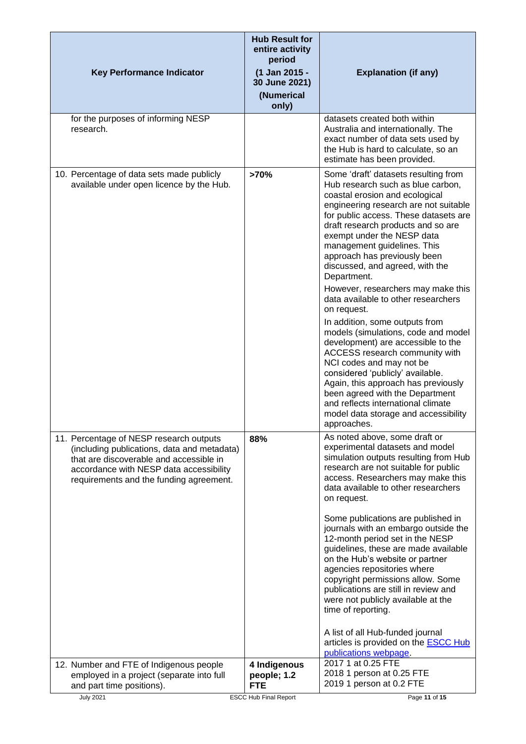| <b>Key Performance Indicator</b>                                                                                                                                                                                        | <b>Hub Result for</b><br>entire activity<br>period<br>(1 Jan 2015 -<br>30 June 2021)<br>(Numerical<br>only) | <b>Explanation (if any)</b>                                                                                                                                                                                                                                                                                                                                                                                                                                                                                                                                                                                                                                                                                                                                                                                                                                            |
|-------------------------------------------------------------------------------------------------------------------------------------------------------------------------------------------------------------------------|-------------------------------------------------------------------------------------------------------------|------------------------------------------------------------------------------------------------------------------------------------------------------------------------------------------------------------------------------------------------------------------------------------------------------------------------------------------------------------------------------------------------------------------------------------------------------------------------------------------------------------------------------------------------------------------------------------------------------------------------------------------------------------------------------------------------------------------------------------------------------------------------------------------------------------------------------------------------------------------------|
| for the purposes of informing NESP<br>research.                                                                                                                                                                         |                                                                                                             | datasets created both within<br>Australia and internationally. The<br>exact number of data sets used by<br>the Hub is hard to calculate, so an<br>estimate has been provided.                                                                                                                                                                                                                                                                                                                                                                                                                                                                                                                                                                                                                                                                                          |
| 10. Percentage of data sets made publicly<br>available under open licence by the Hub.                                                                                                                                   | >70%                                                                                                        | Some 'draft' datasets resulting from<br>Hub research such as blue carbon,<br>coastal erosion and ecological<br>engineering research are not suitable<br>for public access. These datasets are<br>draft research products and so are<br>exempt under the NESP data<br>management guidelines. This<br>approach has previously been<br>discussed, and agreed, with the<br>Department.<br>However, researchers may make this<br>data available to other researchers<br>on request.<br>In addition, some outputs from<br>models (simulations, code and model<br>development) are accessible to the<br>ACCESS research community with<br>NCI codes and may not be<br>considered 'publicly' available.<br>Again, this approach has previously<br>been agreed with the Department<br>and reflects international climate<br>model data storage and accessibility<br>approaches. |
| 11. Percentage of NESP research outputs<br>(including publications, data and metadata)<br>that are discoverable and accessible in<br>accordance with NESP data accessibility<br>requirements and the funding agreement. | 88%                                                                                                         | As noted above, some draft or<br>experimental datasets and model<br>simulation outputs resulting from Hub<br>research are not suitable for public<br>access. Researchers may make this<br>data available to other researchers<br>on request.<br>Some publications are published in<br>journals with an embargo outside the<br>12-month period set in the NESP<br>guidelines, these are made available<br>on the Hub's website or partner<br>agencies repositories where<br>copyright permissions allow. Some<br>publications are still in review and<br>were not publicly available at the<br>time of reporting.<br>A list of all Hub-funded journal<br>articles is provided on the <b>ESCC Hub</b><br>publications webpage.                                                                                                                                           |
| 12. Number and FTE of Indigenous people<br>employed in a project (separate into full<br>and part time positions).<br><b>July 2021</b>                                                                                   | 4 Indigenous<br>people; 1.2<br><b>FTE</b><br><b>ESCC Hub Final Report</b>                                   | 2017 1 at 0.25 FTE<br>2018 1 person at 0.25 FTE<br>2019 1 person at 0.2 FTE<br>Page 11 of 15                                                                                                                                                                                                                                                                                                                                                                                                                                                                                                                                                                                                                                                                                                                                                                           |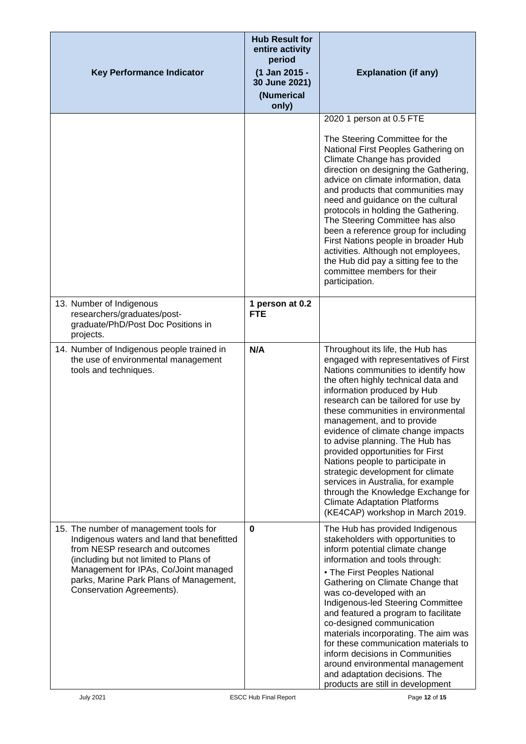| <b>Key Performance Indicator</b>                                                                                                                                                                                                                                                   | <b>Hub Result for</b><br>entire activity<br>period<br>(1 Jan 2015 -<br>30 June 2021)<br>(Numerical<br>only) | <b>Explanation (if any)</b>                                                                                                                                                                                                                                                                                                                                                                                                                                                                                                                                                                                                                    |
|------------------------------------------------------------------------------------------------------------------------------------------------------------------------------------------------------------------------------------------------------------------------------------|-------------------------------------------------------------------------------------------------------------|------------------------------------------------------------------------------------------------------------------------------------------------------------------------------------------------------------------------------------------------------------------------------------------------------------------------------------------------------------------------------------------------------------------------------------------------------------------------------------------------------------------------------------------------------------------------------------------------------------------------------------------------|
|                                                                                                                                                                                                                                                                                    |                                                                                                             | 2020 1 person at 0.5 FTE<br>The Steering Committee for the<br>National First Peoples Gathering on<br>Climate Change has provided<br>direction on designing the Gathering,<br>advice on climate information, data<br>and products that communities may<br>need and guidance on the cultural<br>protocols in holding the Gathering.<br>The Steering Committee has also<br>been a reference group for including<br>First Nations people in broader Hub<br>activities. Although not employees,<br>the Hub did pay a sitting fee to the<br>committee members for their<br>participation.                                                            |
| 13. Number of Indigenous<br>researchers/graduates/post-<br>graduate/PhD/Post Doc Positions in<br>projects.                                                                                                                                                                         | 1 person at 0.2<br><b>FTE</b>                                                                               |                                                                                                                                                                                                                                                                                                                                                                                                                                                                                                                                                                                                                                                |
| 14. Number of Indigenous people trained in<br>the use of environmental management<br>tools and techniques.                                                                                                                                                                         | N/A                                                                                                         | Throughout its life, the Hub has<br>engaged with representatives of First<br>Nations communities to identify how<br>the often highly technical data and<br>information produced by Hub<br>research can be tailored for use by<br>these communities in environmental<br>management, and to provide<br>evidence of climate change impacts<br>to advise planning. The Hub has<br>provided opportunities for First<br>Nations people to participate in<br>strategic development for climate<br>services in Australia, for example<br>through the Knowledge Exchange for<br><b>Climate Adaptation Platforms</b><br>(KE4CAP) workshop in March 2019. |
| 15. The number of management tools for<br>Indigenous waters and land that benefitted<br>from NESP research and outcomes<br>(including but not limited to Plans of<br>Management for IPAs, Co/Joint managed<br>parks, Marine Park Plans of Management,<br>Conservation Agreements). | 0                                                                                                           | The Hub has provided Indigenous<br>stakeholders with opportunities to<br>inform potential climate change<br>information and tools through:<br>• The First Peoples National<br>Gathering on Climate Change that<br>was co-developed with an<br>Indigenous-led Steering Committee<br>and featured a program to facilitate<br>co-designed communication<br>materials incorporating. The aim was<br>for these communication materials to<br>inform decisions in Communities<br>around environmental management<br>and adaptation decisions. The<br>products are still in development                                                               |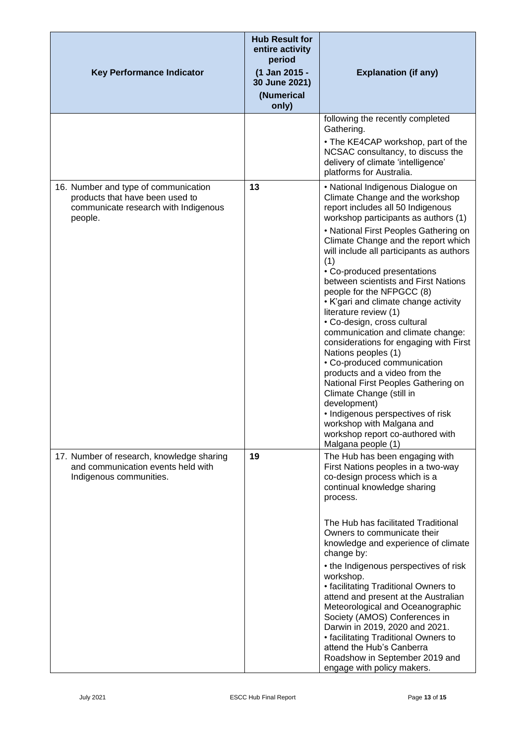| <b>Key Performance Indicator</b>                                                                                           | <b>Hub Result for</b><br>entire activity<br>period<br>(1 Jan 2015 -<br>30 June 2021)<br>(Numerical<br>only) | <b>Explanation (if any)</b>                                                                                                                                                                                                                                                                                                                                                                                                                                                                                                                                                                                                                                                                                                                                                                                                                                                   |
|----------------------------------------------------------------------------------------------------------------------------|-------------------------------------------------------------------------------------------------------------|-------------------------------------------------------------------------------------------------------------------------------------------------------------------------------------------------------------------------------------------------------------------------------------------------------------------------------------------------------------------------------------------------------------------------------------------------------------------------------------------------------------------------------------------------------------------------------------------------------------------------------------------------------------------------------------------------------------------------------------------------------------------------------------------------------------------------------------------------------------------------------|
|                                                                                                                            |                                                                                                             | following the recently completed<br>Gathering.<br>• The KE4CAP workshop, part of the<br>NCSAC consultancy, to discuss the<br>delivery of climate 'intelligence'<br>platforms for Australia.                                                                                                                                                                                                                                                                                                                                                                                                                                                                                                                                                                                                                                                                                   |
| 16. Number and type of communication<br>products that have been used to<br>communicate research with Indigenous<br>people. | 13                                                                                                          | • National Indigenous Dialogue on<br>Climate Change and the workshop<br>report includes all 50 Indigenous<br>workshop participants as authors (1)<br>• National First Peoples Gathering on<br>Climate Change and the report which<br>will include all participants as authors<br>(1)<br>• Co-produced presentations<br>between scientists and First Nations<br>people for the NFPGCC (8)<br>• K'gari and climate change activity<br>literature review (1)<br>• Co-design, cross cultural<br>communication and climate change:<br>considerations for engaging with First<br>Nations peoples (1)<br>• Co-produced communication<br>products and a video from the<br>National First Peoples Gathering on<br>Climate Change (still in<br>development)<br>• Indigenous perspectives of risk<br>workshop with Malgana and<br>workshop report co-authored with<br>Malgana people (1) |
| 17. Number of research, knowledge sharing<br>and communication events held with<br>Indigenous communities.                 | 19                                                                                                          | The Hub has been engaging with<br>First Nations peoples in a two-way<br>co-design process which is a<br>continual knowledge sharing<br>process.<br>The Hub has facilitated Traditional<br>Owners to communicate their<br>knowledge and experience of climate<br>change by:<br>• the Indigenous perspectives of risk<br>workshop.<br>• facilitating Traditional Owners to<br>attend and present at the Australian<br>Meteorological and Oceanographic<br>Society (AMOS) Conferences in<br>Darwin in 2019, 2020 and 2021.<br>• facilitating Traditional Owners to<br>attend the Hub's Canberra<br>Roadshow in September 2019 and<br>engage with policy makers.                                                                                                                                                                                                                  |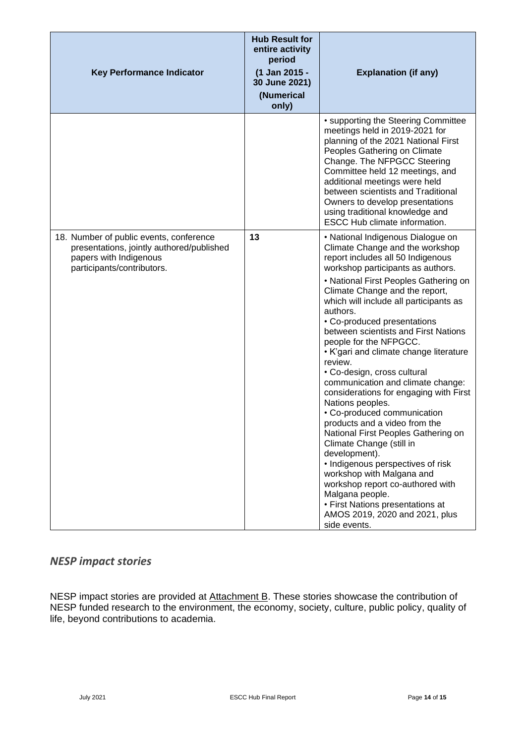| <b>Key Performance Indicator</b>                                                                                                             | <b>Hub Result for</b><br>entire activity<br>period<br>(1 Jan 2015 -<br>30 June 2021)<br>(Numerical<br>only) | <b>Explanation (if any)</b>                                                                                                                                                                                                                                                                                                                                                                                                                                                                                                                                                                                                                                                                                                                                                                                                                                                                                                                |
|----------------------------------------------------------------------------------------------------------------------------------------------|-------------------------------------------------------------------------------------------------------------|--------------------------------------------------------------------------------------------------------------------------------------------------------------------------------------------------------------------------------------------------------------------------------------------------------------------------------------------------------------------------------------------------------------------------------------------------------------------------------------------------------------------------------------------------------------------------------------------------------------------------------------------------------------------------------------------------------------------------------------------------------------------------------------------------------------------------------------------------------------------------------------------------------------------------------------------|
|                                                                                                                                              |                                                                                                             | • supporting the Steering Committee<br>meetings held in 2019-2021 for<br>planning of the 2021 National First<br>Peoples Gathering on Climate<br>Change. The NFPGCC Steering<br>Committee held 12 meetings, and<br>additional meetings were held<br>between scientists and Traditional<br>Owners to develop presentations<br>using traditional knowledge and<br><b>ESCC Hub climate information.</b>                                                                                                                                                                                                                                                                                                                                                                                                                                                                                                                                        |
| 18. Number of public events, conference<br>presentations, jointly authored/published<br>papers with Indigenous<br>participants/contributors. | 13                                                                                                          | • National Indigenous Dialogue on<br>Climate Change and the workshop<br>report includes all 50 Indigenous<br>workshop participants as authors.<br>• National First Peoples Gathering on<br>Climate Change and the report,<br>which will include all participants as<br>authors.<br>• Co-produced presentations<br>between scientists and First Nations<br>people for the NFPGCC.<br>• K'gari and climate change literature<br>review.<br>• Co-design, cross cultural<br>communication and climate change:<br>considerations for engaging with First<br>Nations peoples.<br>• Co-produced communication<br>products and a video from the<br>National First Peoples Gathering on<br>Climate Change (still in<br>development).<br>• Indigenous perspectives of risk<br>workshop with Malgana and<br>workshop report co-authored with<br>Malgana people.<br>• First Nations presentations at<br>AMOS 2019, 2020 and 2021, plus<br>side events. |

### <span id="page-13-0"></span>*NESP impact stories*

NESP impact stories are provided at Attachment B. These stories showcase the contribution of NESP funded research to the environment, the economy, society, culture, public policy, quality of life, beyond contributions to academia.